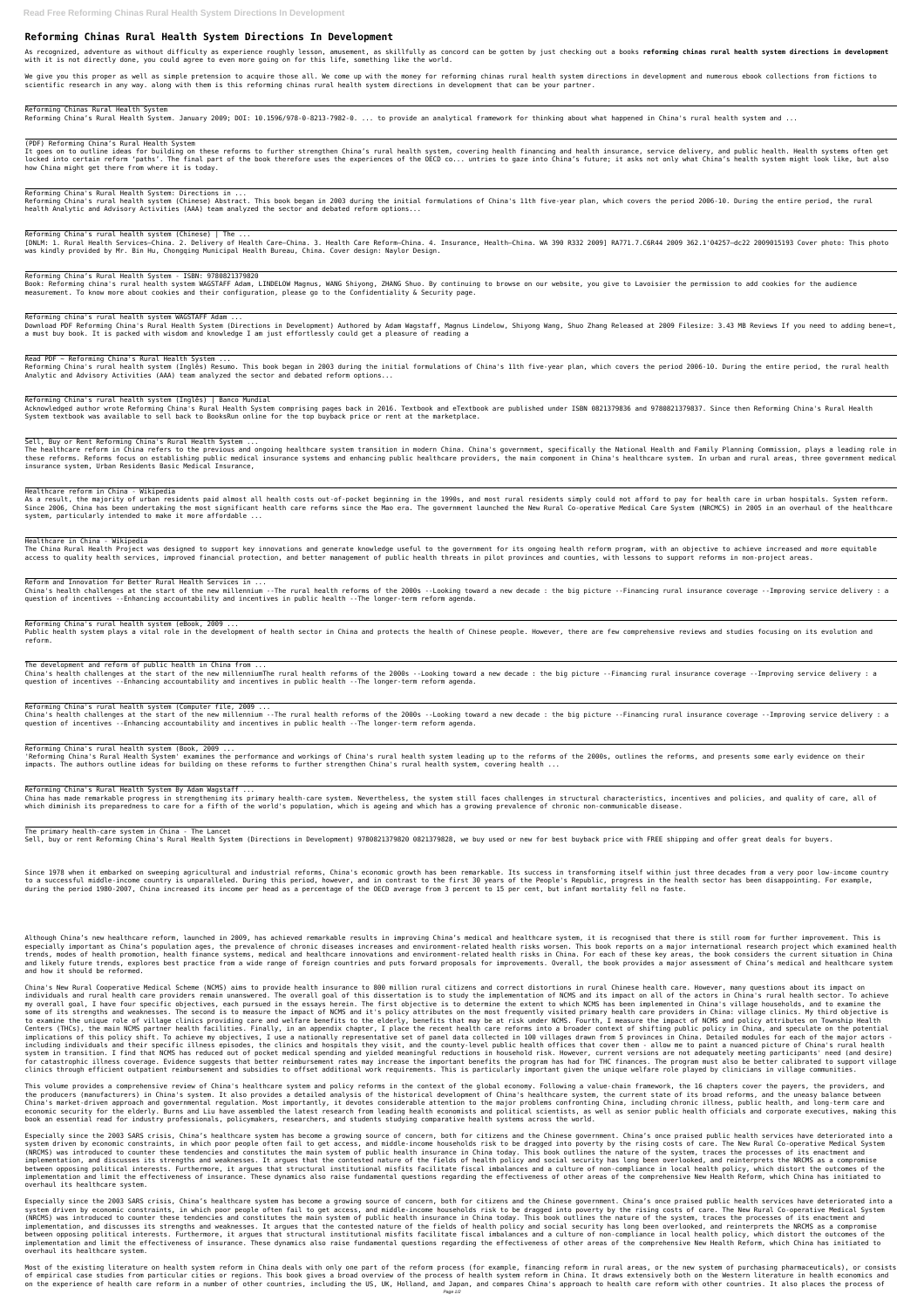# **Reforming Chinas Rural Health System Directions In Development**

As recognized, adventure as without difficulty as experience roughly lesson, amusement, as skillfully as concord can be gotten by just checking out a books reforming chinas rural health system directions in development with it is not directly done, you could agree to even more going on for this life, something like the world.

We give you this proper as well as simple pretension to acquire those all. We come up with the money for reforming chinas rural health system directions in development and numerous ebook collections from fictions to scientific research in any way. along with them is this reforming chinas rural health system directions in development that can be your partner.

### Reforming Chinas Rural Health System

Reforming China's Rural Health System. January 2009; DOI: 10.1596/978-0-8213-7982-0. ... to provide an analytical framework for thinking about what happened in China's rural health system and ...

(PDF) Reforming China's Rural Health System

It goes on to outline ideas for building on these reforms to further strengthen China's rural health system, covering health financing and health insurance, service delivery, and public health. Health systems often get locked into certain reform 'paths'. The final part of the book therefore uses the experiences of the OECD co... untries to gaze into China's future; it asks not only what China's health system might look like, but also how China might get there from where it is today.

Reforming China's Rural Health System: Directions in ...

Reforming China's rural health system (Chinese) Abstract. This book began in 2003 during the initial formulations of China's 11th five-year plan, which covers the period 2006-10. During the entire period, the rural health Analytic and Advisory Activities (AAA) team analyzed the sector and debated reform options...

Reforming China's rural health system (Chinese) | The ...

[DNLM: 1. Rural Health Services—China. 2. Delivery of Health Care—China. 3. Health Care Reform—China. 4. Insurance, Health—China. WA 390 R332 2009] RA771.7.C6R44 2009 362.1'04257—dc22 2009015193 Cover photo: This photo was kindly provided by Mr. Bin Hu, Chongqing Municipal Health Bureau, China. Cover design: Naylor Design.

Reforming China's Rural Health System - ISBN: 9780821379820

Book: Reforming china's rural health system WAGSTAFF Adam, LINDELOW Magnus, WANG Shiyong, ZHANG Shuo. By continuing to browse on our website, you give to Lavoisier the permission to add cookies for the audience measurement. To know more about cookies and their configuration, please go to the Confidentiality & Security page.

Reforming china's rural health system WAGSTAFF Adam ...

Download PDF Reforming China's Rural Health System (Directions in Development) Authored by Adam Wagstaff, Magnus Lindelow, Shiyong Wang, Shuo Zhang Released at 2009 Filesize: 3.43 MB Reviews If you need to adding bene=t, a must buy book. It is packed with wisdom and knowledge I am just effortlessly could get a pleasure of reading a

Read PDF ~ Reforming China's Rural Health System ...

Public health system plays a vital role in the development of health sector in China and protects the health of Chinese people. However, there are few comprehensive reviews and studies focusing on its evolution and reform.

Reforming China's rural health system (Inglês) Resumo. This book began in 2003 during the initial formulations of China's 11th five-year plan, which covers the period 2006-10. During the entire period, the rural health Analytic and Advisory Activities (AAA) team analyzed the sector and debated reform options...

Reforming China's rural health system (Inglês) | Banco Mundial

'Reforming China's Rural Health System' examines the performance and workings of China's rural health system leading up to the reforms of the 2000s, outlines the reforms, and presents some early evidence on their impacts. The authors outline ideas for building on these reforms to further strengthen China's rural health system, covering health ...

Acknowledged author wrote Reforming China's Rural Health System comprising pages back in 2016. Textbook and eTextbook are published under ISBN 0821379836 and 9780821379837. Since then Reforming China's Rural Health System textbook was available to sell back to BooksRun online for the top buyback price or rent at the marketplace.

Sell, Buy or Rent Reforming China's Rural Health System ...

Since 1978 when it embarked on sweeping agricultural and industrial reforms, China's economic growth has been remarkable. Its success in transforming itself within just three decades from a very poor low-income country to a successful middle-income country is unparalleled. During this period, however, and in contrast to the first 30 years of the People's Republic, progress in the health sector has been disappointing. For example, during the period 1980-2007, China increased its income per head as a percentage of the OECD average from 3 percent to 15 per cent, but infant mortality fell no faste.

The healthcare reform in China refers to the previous and ongoing healthcare system transition in modern China. China's government, specifically the National Health and Family Planning Commission, plays a leading role in these reforms. Reforms focus on establishing public medical insurance systems and enhancing public healthcare providers, the main component in China's healthcare system. In urban and rural areas, three government medical insurance system, Urban Residents Basic Medical Insurance,

Healthcare reform in China - Wikipedia

As a result, the majority of urban residents paid almost all health costs out-of-pocket beginning in the 1990s, and most rural residents simply could not afford to pay for health care in urban hospitals. System reform. Since 2006, China has been undertaking the most significant health care reforms since the Mao era. The government launched the New Rural Co-operative Medical Care System (NRCMCS) in 2005 in an overhaul of the healthcare system, particularly intended to make it more affordable ...

### Healthcare in China - Wikipedia

The China Rural Health Project was designed to support key innovations and generate knowledge useful to the government for its ongoing health reform program, with an objective to achieve increased and more equitable access to quality health services, improved financial protection, and better management of public health threats in pilot provinces and counties, with lessons to support reforms in non-project areas.

Reform and Innovation for Better Rural Health Services in ...

China's health challenges at the start of the new millennium --The rural health reforms of the 2000s --Looking toward a new decade : the big picture --Financing rural insurance coverage --Improving service delivery : a question of incentives --Enhancing accountability and incentives in public health --The longer-term reform agenda.

Reforming China's rural health system (eBook, 2009 ...

The development and reform of public health in China from ...

China's health challenges at the start of the new millenniumThe rural health reforms of the 2000s --Looking toward a new decade : the big picture --Financing rural insurance coverage --Improving service delivery : a question of incentives --Enhancing accountability and incentives in public health --The longer-term reform agenda.

Reforming China's rural health system (Computer file, 2009 ...

China's health challenges at the start of the new millennium --The rural health reforms of the 2000s --Looking toward a new decade : the big picture --Financing rural insurance coverage --Improving service delivery : a question of incentives --Enhancing accountability and incentives in public health --The longer-term reform agenda.

Reforming China's rural health system (Book, 2009 ...

Reforming China's Rural Health System By Adam Wagstaff ...

China has made remarkable progress in strengthening its primary health-care system. Nevertheless, the system still faces challenges in structural characteristics, incentives and policies, and quality of care, all of which diminish its preparedness to care for a fifth of the world's population, which is ageing and which has a growing prevalence of chronic non-communicable disease.

The primary health-care system in China - The Lancet

Sell, buy or rent Reforming China's Rural Health System (Directions in Development) 9780821379820 0821379828, we buy used or new for best buyback price with FREE shipping and offer great deals for buyers.

Although China's new healthcare reform, launched in 2009, has achieved remarkable results in improving China's medical and healthcare system, it is recognised that there is still room for further improvement. This is especially important as China's population ages, the prevalence of chronic diseases increases and environment-related health risks worsen. This book reports on a major international research project which examined health trends, modes of health promotion, health finance systems, medical and healthcare innovations and environment-related health risks in China. For each of these key areas, the book considers the current situation in China and likely future trends, explores best practice from a wide range of foreign countries and puts forward proposals for improvements. Overall, the book provides a major assessment of China's medical and healthcare system and how it should be reformed.

China's New Rural Cooperative Medical Scheme (NCMS) aims to provide health insurance to 800 million rural citizens and correct distortions in rural Chinese health care. However, many questions about its impact on individuals and rural health care providers remain unanswered. The overall goal of this dissertation is to study the implementation of NCMS and its impact on all of the actors in China's rural health sector. To achieve my overall goal, I have four specific objectives, each pursued in the essays herein. The first objective is to determine the extent to which NCMS has been implemented in China's village households, and to examine the some of its strengths and weaknesses. The second is to measure the impact of NCMS and it's policy attributes on the most frequently visited primary health care providers in China: village clinics. My third objective is to examine the unique role of village clinics providing care and welfare benefits to the elderly, benefits that may be at risk under NCMS. Fourth, I measure the impact of NCMS and policy attributes on Township Health Centers (THCs), the main NCMS partner health facilities. Finally, in an appendix chapter, I place the recent health care reforms into a broader context of shifting public policy in China, and speculate on the potential implications of this policy shift. To achieve my objectives, I use a nationally representative set of panel data collected in 100 villages drawn from 5 provinces in China. Detailed modules for each of the major actors including individuals and their specific illness episodes, the clinics and hospitals they visit, and the county-level public health offices that cover them - allow me to paint a nuanced picture of China's rural health system in transition. I find that NCMS has reduced out of pocket medical spending and yielded meaningful reductions in household risk. However, current versions are not adequately meeting participants' need (and desire) for catastrophic illness coverage. Evidence suggests that better reimbursement rates may increase the important benefits the program has had for THC finances. The program must also be better calibrated to support village clinics through efficient outpatient reimbursement and subsidies to offset additional work requirements. This is particularly important given the unique welfare role played by clinicians in village communities.

This volume provides a comprehensive review of China's healthcare system and policy reforms in the context of the global economy. Following a value-chain framework, the 16 chapters cover the payers, the providers, and the producers (manufacturers) in China's system. It also provides a detailed analysis of the historical development of China's healthcare system, the current state of its broad reforms, and the uneasy balance between China's market-driven approach and governmental regulation. Most importantly, it devotes considerable attention to the major problems confronting China, including chronic illness, public health, and long-term care and economic security for the elderly. Burns and Liu have assembled the latest research from leading health economists and political scientists, as well as senior public health officials and corporate executives, making this book an essential read for industry professionals, policymakers, researchers, and students studying comparative health systems across the world.

Especially since the 2003 SARS crisis, China's healthcare system has become a growing source of concern, both for citizens and the Chinese government. China's once praised public health services have deteriorated into a system driven by economic constraints, in which poor people often fail to get access, and middle-income households risk to be dragged into poverty by the rising costs of care. The New Rural Co-operative Medical System (NRCMS) was introduced to counter these tendencies and constitutes the main system of public health insurance in China today. This book outlines the nature of the system, traces the processes of its enactment and implementation, and discusses its strengths and weaknesses. It argues that the contested nature of the fields of health policy and social security has long been overlooked, and reinterprets the NRCMS as a compromise between opposing political interests. Furthermore, it argues that structural institutional misfits facilitate fiscal imbalances and a culture of non-compliance in local health policy, which distort the outcomes of the implementation and limit the effectiveness of insurance. These dynamics also raise fundamental questions regarding the effectiveness of other areas of the comprehensive New Health Reform, which China has initiated to overhaul its healthcare system.

Especially since the 2003 SARS crisis, China's healthcare system has become a growing source of concern, both for citizens and the Chinese government. China's once praised public health services have deteriorated into a system driven by economic constraints, in which poor people often fail to get access, and middle-income households risk to be dragged into poverty by the rising costs of care. The New Rural Co-operative Medical System (NRCMS) was introduced to counter these tendencies and constitutes the main system of public health insurance in China today. This book outlines the nature of the system, traces the processes of its enactment and implementation, and discusses its strengths and weaknesses. It argues that the contested nature of the fields of health policy and social security has long been overlooked, and reinterprets the NRCMS as a compromise between opposing political interests. Furthermore, it argues that structural institutional misfits facilitate fiscal imbalances and a culture of non-compliance in local health policy, which distort the outcomes of the implementation and limit the effectiveness of insurance. These dynamics also raise fundamental questions regarding the effectiveness of other areas of the comprehensive New Health Reform, which China has initiated to overhaul its healthcare system.

Most of the existing literature on health system reform in China deals with only one part of the reform process (for example, financing reform in rural areas, or the new system of purchasing pharmaceuticals), or consists of empirical case studies from particular cities or regions. This book gives a broad overview of the process of health system reform in China. It draws extensively both on the Western literature in health economics and on the experience of health care reform in a number of other countries, including the US, UK, Holland, and Japan, and compares China's approach to health care reform with other countries. It also places the process of